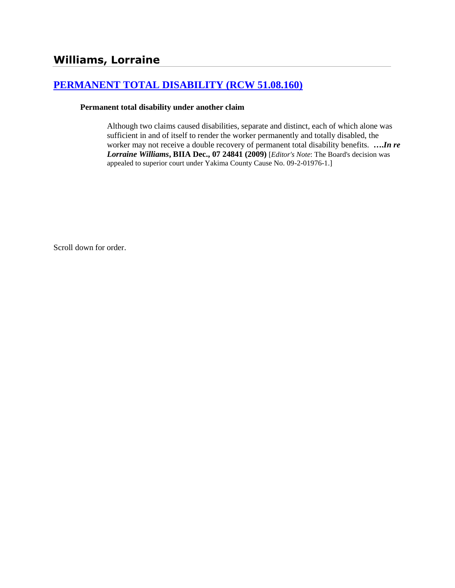# **[PERMANENT TOTAL DISABILITY \(RCW 51.08.160\)](http://www.biia.wa.gov/SDSubjectIndex.html#PERMANENT_TOTAL_DISABILITY)**

#### **Permanent total disability under another claim**

Although two claims caused disabilities, separate and distinct, each of which alone was sufficient in and of itself to render the worker permanently and totally disabled, the worker may not receive a double recovery of permanent total disability benefits. **….***In re Lorraine Williams***, BIIA Dec., 07 24841 (2009)** [*Editor's Note*: The Board's decision was appealed to superior court under Yakima County Cause No. 09-2-01976-1.]

Scroll down for order.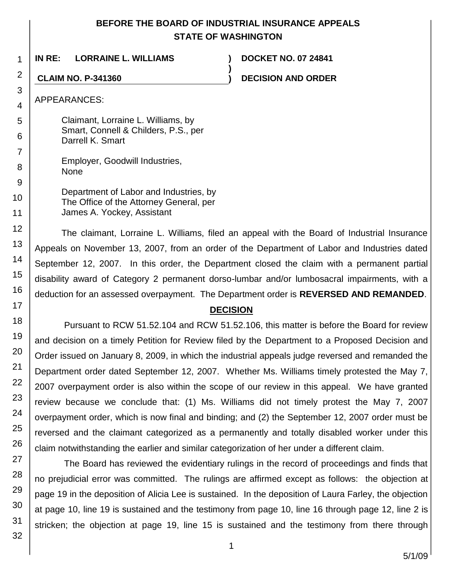# **BEFORE THE BOARD OF INDUSTRIAL INSURANCE APPEALS STATE OF WASHINGTON**

**)**

**IN RE: LORRAINE L. WILLIAMS ) DOCKET NO. 07 24841**

**CLAIM NO. P-341360 ) DECISION AND ORDER**

APPEARANCES:

1

2

3

4

5

6

7

8 9

10

11

12

13

14

15 16

17

18

19

20

21

22

23

24

25

26

27

28

29

30

31

32

Claimant, Lorraine L. Williams, by Smart, Connell & Childers, P.S., per Darrell K. Smart

Employer, Goodwill Industries, None

| Department of Labor and Industries, by  |
|-----------------------------------------|
| The Office of the Attorney General, per |
| James A. Yockey, Assistant              |

The claimant, Lorraine L. Williams, filed an appeal with the Board of Industrial Insurance Appeals on November 13, 2007, from an order of the Department of Labor and Industries dated September 12, 2007. In this order, the Department closed the claim with a permanent partial disability award of Category 2 permanent dorso-lumbar and/or lumbosacral impairments, with a deduction for an assessed overpayment. The Department order is **REVERSED AND REMANDED**.

# **DECISION**

Pursuant to RCW 51.52.104 and RCW 51.52.106, this matter is before the Board for review and decision on a timely Petition for Review filed by the Department to a Proposed Decision and Order issued on January 8, 2009, in which the industrial appeals judge reversed and remanded the Department order dated September 12, 2007. Whether Ms. Williams timely protested the May 7, 2007 overpayment order is also within the scope of our review in this appeal. We have granted review because we conclude that: (1) Ms. Williams did not timely protest the May 7, 2007 overpayment order, which is now final and binding; and (2) the September 12, 2007 order must be reversed and the claimant categorized as a permanently and totally disabled worker under this claim notwithstanding the earlier and similar categorization of her under a different claim.

The Board has reviewed the evidentiary rulings in the record of proceedings and finds that no prejudicial error was committed. The rulings are affirmed except as follows: the objection at page 19 in the deposition of Alicia Lee is sustained. In the deposition of Laura Farley, the objection at page 10, line 19 is sustained and the testimony from page 10, line 16 through page 12, line 2 is stricken; the objection at page 19, line 15 is sustained and the testimony from there through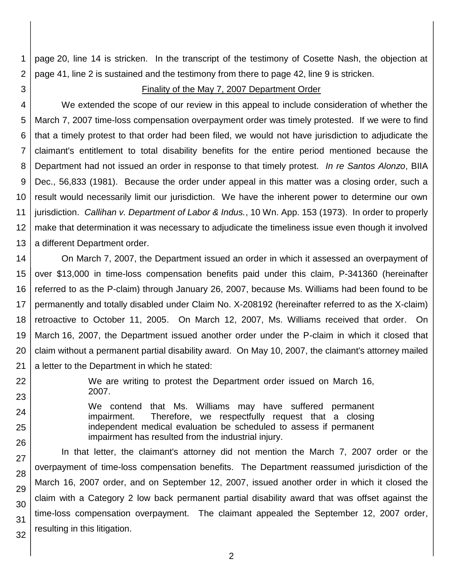1 2 page 20, line 14 is stricken. In the transcript of the testimony of Cosette Nash, the objection at page 41, line 2 is sustained and the testimony from there to page 42, line 9 is stricken.

3

22

23

24

25

26

27

28

29 30

31

## Finality of the May 7, 2007 Department Order

4 5 6 7 8 9 10 11 12 13 We extended the scope of our review in this appeal to include consideration of whether the March 7, 2007 time-loss compensation overpayment order was timely protested. If we were to find that a timely protest to that order had been filed, we would not have jurisdiction to adjudicate the claimant's entitlement to total disability benefits for the entire period mentioned because the Department had not issued an order in response to that timely protest. *In re Santos Alonzo*, BIIA Dec., 56,833 (1981). Because the order under appeal in this matter was a closing order, such a result would necessarily limit our jurisdiction. We have the inherent power to determine our own jurisdiction. *Callihan v. Department of Labor & Indus.*, 10 Wn. App. 153 (1973). In order to properly make that determination it was necessary to adjudicate the timeliness issue even though it involved a different Department order.

14 15 16 17 18 19 20 21 On March 7, 2007, the Department issued an order in which it assessed an overpayment of over \$13,000 in time-loss compensation benefits paid under this claim, P-341360 (hereinafter referred to as the P-claim) through January 26, 2007, because Ms. Williams had been found to be permanently and totally disabled under Claim No. X-208192 (hereinafter referred to as the X-claim) retroactive to October 11, 2005. On March 12, 2007, Ms. Williams received that order. On March 16, 2007, the Department issued another order under the P-claim in which it closed that claim without a permanent partial disability award. On May 10, 2007, the claimant's attorney mailed a letter to the Department in which he stated:

We are writing to protest the Department order issued on March 16, 2007.

We contend that Ms. Williams may have suffered permanent impairment. Therefore, we respectfully request that a closing independent medical evaluation be scheduled to assess if permanent impairment has resulted from the industrial injury.

32 In that letter, the claimant's attorney did not mention the March 7, 2007 order or the overpayment of time-loss compensation benefits. The Department reassumed jurisdiction of the March 16, 2007 order, and on September 12, 2007, issued another order in which it closed the claim with a Category 2 low back permanent partial disability award that was offset against the time-loss compensation overpayment. The claimant appealed the September 12, 2007 order, resulting in this litigation.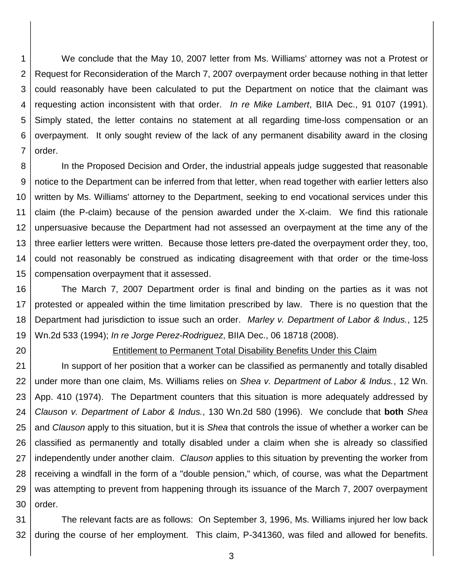1 2 3 4 5 6 7 We conclude that the May 10, 2007 letter from Ms. Williams' attorney was not a Protest or Request for Reconsideration of the March 7, 2007 overpayment order because nothing in that letter could reasonably have been calculated to put the Department on notice that the claimant was requesting action inconsistent with that order. *In re Mike Lambert*, BIIA Dec., 91 0107 (1991). Simply stated, the letter contains no statement at all regarding time-loss compensation or an overpayment. It only sought review of the lack of any permanent disability award in the closing order.

8 9 10 11 12 13 14 15 In the Proposed Decision and Order, the industrial appeals judge suggested that reasonable notice to the Department can be inferred from that letter, when read together with earlier letters also written by Ms. Williams' attorney to the Department, seeking to end vocational services under this claim (the P-claim) because of the pension awarded under the X-claim. We find this rationale unpersuasive because the Department had not assessed an overpayment at the time any of the three earlier letters were written. Because those letters pre-dated the overpayment order they, too, could not reasonably be construed as indicating disagreement with that order or the time-loss compensation overpayment that it assessed.

16 17 18 19 The March 7, 2007 Department order is final and binding on the parties as it was not protested or appealed within the time limitation prescribed by law. There is no question that the Department had jurisdiction to issue such an order. *Marley v. Department of Labor & Indus.*, 125 Wn.2d 533 (1994); *In re Jorge Perez-Rodriguez*, BIIA Dec., 06 18718 (2008).

20

### Entitlement to Permanent Total Disability Benefits Under this Claim

21 22 23 24 25 26 27 28 29 30 In support of her position that a worker can be classified as permanently and totally disabled under more than one claim, Ms. Williams relies on *Shea v. Department of Labor & Indus.*, 12 Wn. App. 410 (1974). The Department counters that this situation is more adequately addressed by *Clauson v. Department of Labor & Indus.*, 130 Wn.2d 580 (1996). We conclude that **both** *Shea* and *Clauson* apply to this situation, but it is *Shea* that controls the issue of whether a worker can be classified as permanently and totally disabled under a claim when she is already so classified independently under another claim. *Clauson* applies to this situation by preventing the worker from receiving a windfall in the form of a "double pension," which, of course, was what the Department was attempting to prevent from happening through its issuance of the March 7, 2007 overpayment order.

31 32 The relevant facts are as follows: On September 3, 1996, Ms. Williams injured her low back during the course of her employment. This claim, P-341360, was filed and allowed for benefits.

3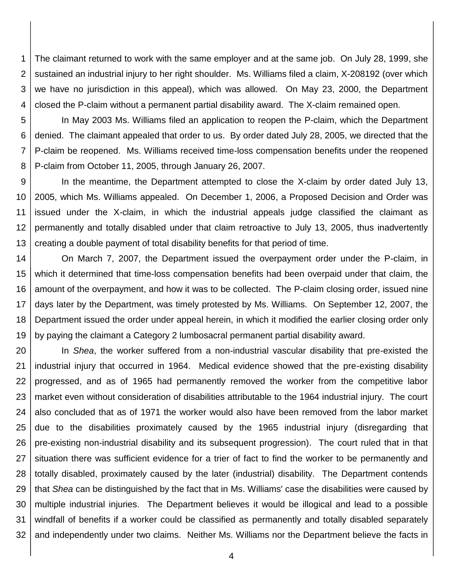1 2 3 4 The claimant returned to work with the same employer and at the same job. On July 28, 1999, she sustained an industrial injury to her right shoulder. Ms. Williams filed a claim, X-208192 (over which we have no jurisdiction in this appeal), which was allowed. On May 23, 2000, the Department closed the P-claim without a permanent partial disability award. The X-claim remained open.

5 6 7 8 In May 2003 Ms. Williams filed an application to reopen the P-claim, which the Department denied. The claimant appealed that order to us. By order dated July 28, 2005, we directed that the P-claim be reopened. Ms. Williams received time-loss compensation benefits under the reopened P-claim from October 11, 2005, through January 26, 2007.

9 10 11 12 13 In the meantime, the Department attempted to close the X-claim by order dated July 13, 2005, which Ms. Williams appealed. On December 1, 2006, a Proposed Decision and Order was issued under the X-claim, in which the industrial appeals judge classified the claimant as permanently and totally disabled under that claim retroactive to July 13, 2005, thus inadvertently creating a double payment of total disability benefits for that period of time.

14 15 16 17 18 19 On March 7, 2007, the Department issued the overpayment order under the P-claim, in which it determined that time-loss compensation benefits had been overpaid under that claim, the amount of the overpayment, and how it was to be collected. The P-claim closing order, issued nine days later by the Department, was timely protested by Ms. Williams. On September 12, 2007, the Department issued the order under appeal herein, in which it modified the earlier closing order only by paying the claimant a Category 2 lumbosacral permanent partial disability award.

20 21 22 23 24 25 26 27 28 29 30 31 32 In *Shea*, the worker suffered from a non-industrial vascular disability that pre-existed the industrial injury that occurred in 1964. Medical evidence showed that the pre-existing disability progressed, and as of 1965 had permanently removed the worker from the competitive labor market even without consideration of disabilities attributable to the 1964 industrial injury. The court also concluded that as of 1971 the worker would also have been removed from the labor market due to the disabilities proximately caused by the 1965 industrial injury (disregarding that pre-existing non-industrial disability and its subsequent progression). The court ruled that in that situation there was sufficient evidence for a trier of fact to find the worker to be permanently and totally disabled, proximately caused by the later (industrial) disability. The Department contends that *Shea* can be distinguished by the fact that in Ms. Williams' case the disabilities were caused by multiple industrial injuries. The Department believes it would be illogical and lead to a possible windfall of benefits if a worker could be classified as permanently and totally disabled separately and independently under two claims. Neither Ms. Williams nor the Department believe the facts in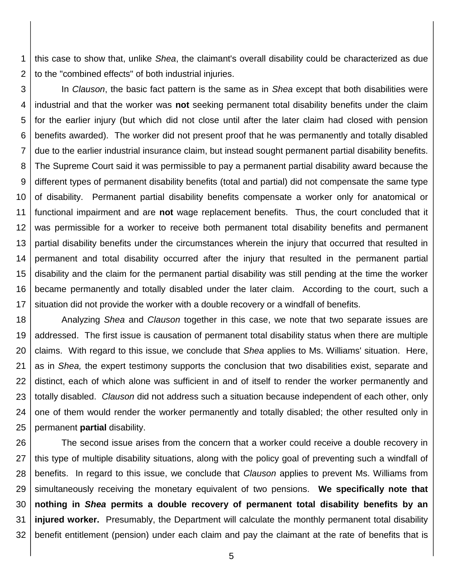1 2 this case to show that, unlike *Shea*, the claimant's overall disability could be characterized as due to the "combined effects" of both industrial injuries.

3 4 5 6 7 8 9 10 11 12 13 14 15 16 17 In *Clauson*, the basic fact pattern is the same as in *Shea* except that both disabilities were industrial and that the worker was **not** seeking permanent total disability benefits under the claim for the earlier injury (but which did not close until after the later claim had closed with pension benefits awarded). The worker did not present proof that he was permanently and totally disabled due to the earlier industrial insurance claim, but instead sought permanent partial disability benefits. The Supreme Court said it was permissible to pay a permanent partial disability award because the different types of permanent disability benefits (total and partial) did not compensate the same type of disability. Permanent partial disability benefits compensate a worker only for anatomical or functional impairment and are **not** wage replacement benefits. Thus, the court concluded that it was permissible for a worker to receive both permanent total disability benefits and permanent partial disability benefits under the circumstances wherein the injury that occurred that resulted in permanent and total disability occurred after the injury that resulted in the permanent partial disability and the claim for the permanent partial disability was still pending at the time the worker became permanently and totally disabled under the later claim. According to the court, such a situation did not provide the worker with a double recovery or a windfall of benefits.

18 19 20 21 22 23 24 25 Analyzing *Shea* and *Clauson* together in this case, we note that two separate issues are addressed. The first issue is causation of permanent total disability status when there are multiple claims. With regard to this issue, we conclude that *Shea* applies to Ms. Williams' situation. Here, as in *Shea,* the expert testimony supports the conclusion that two disabilities exist, separate and distinct, each of which alone was sufficient in and of itself to render the worker permanently and totally disabled. *Clauson* did not address such a situation because independent of each other, only one of them would render the worker permanently and totally disabled; the other resulted only in permanent **partial** disability.

26 27 28 29 30 31 32 The second issue arises from the concern that a worker could receive a double recovery in this type of multiple disability situations, along with the policy goal of preventing such a windfall of benefits. In regard to this issue, we conclude that *Clauson* applies to prevent Ms. Williams from simultaneously receiving the monetary equivalent of two pensions. **We specifically note that nothing in** *Shea* **permits a double recovery of permanent total disability benefits by an injured worker.** Presumably, the Department will calculate the monthly permanent total disability benefit entitlement (pension) under each claim and pay the claimant at the rate of benefits that is

5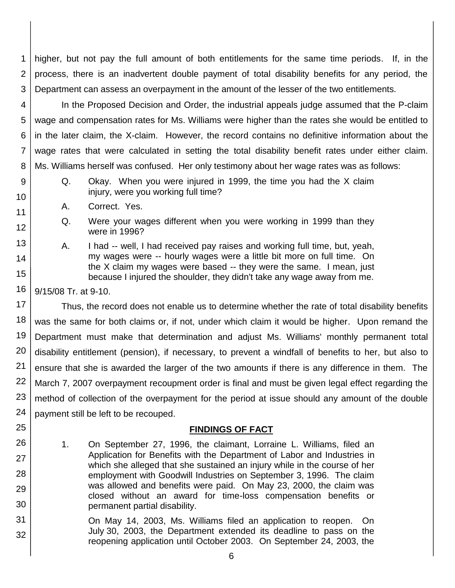1 2 3 higher, but not pay the full amount of both entitlements for the same time periods. If, in the process, there is an inadvertent double payment of total disability benefits for any period, the Department can assess an overpayment in the amount of the lesser of the two entitlements.

4 5 6 7 8 In the Proposed Decision and Order, the industrial appeals judge assumed that the P-claim wage and compensation rates for Ms. Williams were higher than the rates she would be entitled to in the later claim, the X-claim. However, the record contains no definitive information about the wage rates that were calculated in setting the total disability benefit rates under either claim. Ms. Williams herself was confused. Her only testimony about her wage rates was as follows:

- Q. Okay. When you were injured in 1999, the time you had the X claim injury, were you working full time?
- A. Correct. Yes.
	- Q. Were your wages different when you were working in 1999 than they were in 1996?
- A. I had -- well, I had received pay raises and working full time, but, yeah, my wages were -- hourly wages were a little bit more on full time. On the X claim my wages were based -- they were the same. I mean, just because I injured the shoulder, they didn't take any wage away from me.

16 9/15/08 Tr. at 9-10.

9

10

11

12

13

14

15

25

26

27

28

29

30

17 18 19 20 21 22 23 24 Thus, the record does not enable us to determine whether the rate of total disability benefits was the same for both claims or, if not, under which claim it would be higher. Upon remand the Department must make that determination and adjust Ms. Williams' monthly permanent total disability entitlement (pension), if necessary, to prevent a windfall of benefits to her, but also to ensure that she is awarded the larger of the two amounts if there is any difference in them. The March 7, 2007 overpayment recoupment order is final and must be given legal effect regarding the method of collection of the overpayment for the period at issue should any amount of the double payment still be left to be recouped.

## **FINDINGS OF FACT**

- 1. On September 27, 1996, the claimant, Lorraine L. Williams, filed an Application for Benefits with the Department of Labor and Industries in which she alleged that she sustained an injury while in the course of her employment with Goodwill Industries on September 3, 1996. The claim was allowed and benefits were paid. On May 23, 2000, the claim was closed without an award for time-loss compensation benefits or permanent partial disability.
- 31 32 On May 14, 2003, Ms. Williams filed an application to reopen. On July 30, 2003, the Department extended its deadline to pass on the reopening application until October 2003. On September 24, 2003, the
	- 6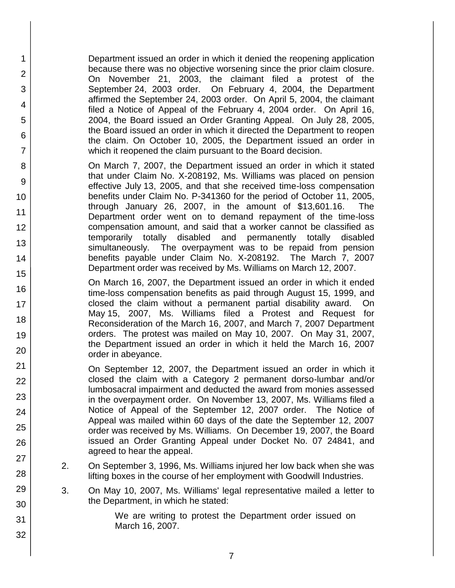Department issued an order in which it denied the reopening application because there was no objective worsening since the prior claim closure. On November 21, 2003, the claimant filed a protest of the September 24, 2003 order. On February 4, 2004, the Department affirmed the September 24, 2003 order. On April 5, 2004, the claimant filed a Notice of Appeal of the February 4, 2004 order. On April 16, 2004, the Board issued an Order Granting Appeal. On July 28, 2005, the Board issued an order in which it directed the Department to reopen the claim. On October 10, 2005, the Department issued an order in which it reopened the claim pursuant to the Board decision.

1

2

3

4

5

6

7

8

9

10

11

12

13

14

15

16

17 18

19

20

21

22

23

24

25

26

27

28

29

30

31

32

On March 7, 2007, the Department issued an order in which it stated that under Claim No. X-208192, Ms. Williams was placed on pension effective July 13, 2005, and that she received time-loss compensation benefits under Claim No. P-341360 for the period of October 11, 2005, through January 26, 2007, in the amount of \$13,601.16. The Department order went on to demand repayment of the time-loss compensation amount, and said that a worker cannot be classified as temporarily totally disabled and permanently totally disabled simultaneously. The overpayment was to be repaid from pension benefits payable under Claim No. X-208192. The March 7, 2007 Department order was received by Ms. Williams on March 12, 2007.

On March 16, 2007, the Department issued an order in which it ended time-loss compensation benefits as paid through August 15, 1999, and closed the claim without a permanent partial disability award. On May 15, 2007, Ms. Williams filed a Protest and Request for Reconsideration of the March 16, 2007, and March 7, 2007 Department orders. The protest was mailed on May 10, 2007. On May 31, 2007, the Department issued an order in which it held the March 16, 2007 order in abeyance.

On September 12, 2007, the Department issued an order in which it closed the claim with a Category 2 permanent dorso-lumbar and/or lumbosacral impairment and deducted the award from monies assessed in the overpayment order. On November 13, 2007, Ms. Williams filed a Notice of Appeal of the September 12, 2007 order. The Notice of Appeal was mailed within 60 days of the date the September 12, 2007 order was received by Ms. Williams. On December 19, 2007, the Board issued an Order Granting Appeal under Docket No. 07 24841, and agreed to hear the appeal.

- 2. On September 3, 1996, Ms. Williams injured her low back when she was lifting boxes in the course of her employment with Goodwill Industries.
- 3. On May 10, 2007, Ms. Williams' legal representative mailed a letter to the Department, in which he stated:

We are writing to protest the Department order issued on March 16, 2007.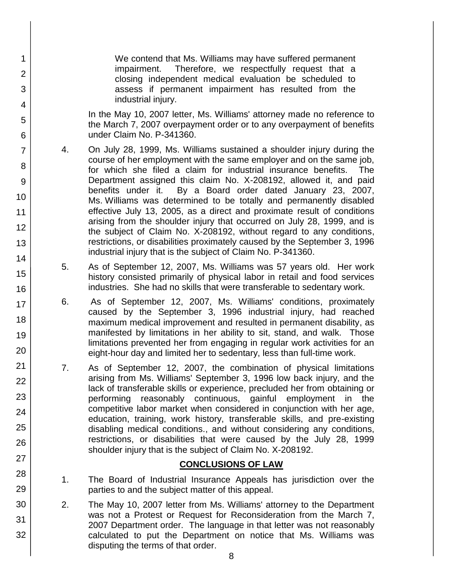We contend that Ms. Williams may have suffered permanent impairment. Therefore, we respectfully request that a closing independent medical evaluation be scheduled to assess if permanent impairment has resulted from the industrial injury.

1

2

3

4

5

6

7

8

9

10

11

12

13

14

15

16

17

18

19

20

21 22

23

24

25

26

27

28

29

30

31

32

In the May 10, 2007 letter, Ms. Williams' attorney made no reference to the March 7, 2007 overpayment order or to any overpayment of benefits under Claim No. P-341360.

- 4. On July 28, 1999, Ms. Williams sustained a shoulder injury during the course of her employment with the same employer and on the same job, for which she filed a claim for industrial insurance benefits. The Department assigned this claim No. X-208192, allowed it, and paid benefits under it. By a Board order dated January 23, 2007, Ms. Williams was determined to be totally and permanently disabled effective July 13, 2005, as a direct and proximate result of conditions arising from the shoulder injury that occurred on July 28, 1999, and is the subject of Claim No. X-208192, without regard to any conditions, restrictions, or disabilities proximately caused by the September 3, 1996 industrial injury that is the subject of Claim No. P-341360.
- 5. As of September 12, 2007, Ms. Williams was 57 years old. Her work history consisted primarily of physical labor in retail and food services industries. She had no skills that were transferable to sedentary work.
- 6. As of September 12, 2007, Ms. Williams' conditions, proximately caused by the September 3, 1996 industrial injury, had reached maximum medical improvement and resulted in permanent disability, as manifested by limitations in her ability to sit, stand, and walk. Those limitations prevented her from engaging in regular work activities for an eight-hour day and limited her to sedentary, less than full-time work.
- 7. As of September 12, 2007, the combination of physical limitations arising from Ms. Williams' September 3, 1996 low back injury, and the lack of transferable skills or experience, precluded her from obtaining or performing reasonably continuous, gainful employment in the competitive labor market when considered in conjunction with her age, education, training, work history, transferable skills, and pre-existing disabling medical conditions., and without considering any conditions, restrictions, or disabilities that were caused by the July 28, 1999 shoulder injury that is the subject of Claim No. X-208192.

## **CONCLUSIONS OF LAW**

- 1. The Board of Industrial Insurance Appeals has jurisdiction over the parties to and the subject matter of this appeal.
- 2. The May 10, 2007 letter from Ms. Williams' attorney to the Department was not a Protest or Request for Reconsideration from the March 7, 2007 Department order. The language in that letter was not reasonably calculated to put the Department on notice that Ms. Williams was disputing the terms of that order.